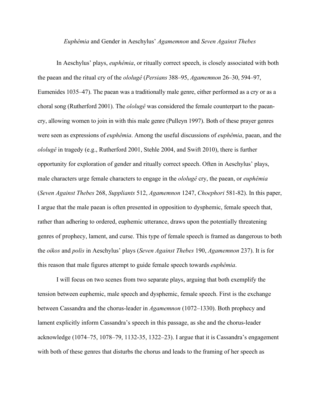## *Euphêmia* and Gender in Aeschylus' *Agamemnon* and *Seven Against Thebes*

In Aeschylus' plays, *euphêmia*, or ritually correct speech, is closely associated with both the paean and the ritual cry of the *ololugê* (*Persians* 388–95, *Agamemnon* 26–30, 594–97, Eumenides 1035–47). The paean was a traditionally male genre, either performed as a cry or as a choral song (Rutherford 2001). The *ololugê* was considered the female counterpart to the paeancry, allowing women to join in with this male genre (Pulleyn 1997). Both of these prayer genres were seen as expressions of *euphêmia*. Among the useful discussions of *euphêmia*, paean, and the *ololugê* in tragedy (e.g., Rutherford 2001, Stehle 2004, and Swift 2010), there is further opportunity for exploration of gender and ritually correct speech. Often in Aeschylus' plays, male characters urge female characters to engage in the *ololugê* cry, the paean, or *euphêmia* (*Seven Against Thebes* 268, *Suppliants* 512, *Agamemnon* 1247, *Choephori* 581-82). In this paper, I argue that the male paean is often presented in opposition to dysphemic, female speech that, rather than adhering to ordered, euphemic utterance, draws upon the potentially threatening genres of prophecy, lament, and curse. This type of female speech is framed as dangerous to both the *oikos* and *polis* in Aeschylus' plays (*Seven Against Thebes* 190, *Agamemnon* 237). It is for this reason that male figures attempt to guide female speech towards *euphêmia*.

I will focus on two scenes from two separate plays, arguing that both exemplify the tension between euphemic, male speech and dysphemic, female speech. First is the exchange between Cassandra and the chorus-leader in *Agamemnon* (1072–1330). Both prophecy and lament explicitly inform Cassandra's speech in this passage, as she and the chorus-leader acknowledge (1074–75, 1078–79, 1132-35, 1322–23). I argue that it is Cassandra's engagement with both of these genres that disturbs the chorus and leads to the framing of her speech as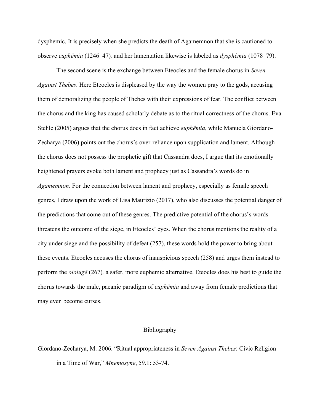dysphemic. It is precisely when she predicts the death of Agamemnon that she is cautioned to observe *euphêmia* (1246–47)*,* and her lamentation likewise is labeled as *dysphêmia* (1078–79).

The second scene is the exchange between Eteocles and the female chorus in *Seven Against Thebes*. Here Eteocles is displeased by the way the women pray to the gods, accusing them of demoralizing the people of Thebes with their expressions of fear. The conflict between the chorus and the king has caused scholarly debate as to the ritual correctness of the chorus. Eva Stehle (2005) argues that the chorus does in fact achieve *euphêmia*, while Manuela Giordano-Zecharya (2006) points out the chorus's over-reliance upon supplication and lament. Although the chorus does not possess the prophetic gift that Cassandra does, I argue that its emotionally heightened prayers evoke both lament and prophecy just as Cassandra's words do in *Agamemnon*. For the connection between lament and prophecy, especially as female speech genres, I draw upon the work of Lisa Maurizio (2017), who also discusses the potential danger of the predictions that come out of these genres. The predictive potential of the chorus's words threatens the outcome of the siege, in Eteocles' eyes. When the chorus mentions the reality of a city under siege and the possibility of defeat (257), these words hold the power to bring about these events. Eteocles accuses the chorus of inauspicious speech (258) and urges them instead to perform the *ololugê* (267)*,* a safer, more euphemic alternative. Eteocles does his best to guide the chorus towards the male, paeanic paradigm of *euphêmia* and away from female predictions that may even become curses.

## Bibliography

Giordano-Zecharya, M. 2006. "Ritual appropriateness in *Seven Against Thebes*: Civic Religion in a Time of War," *Mnemosyne*, 59.1: 53-74.